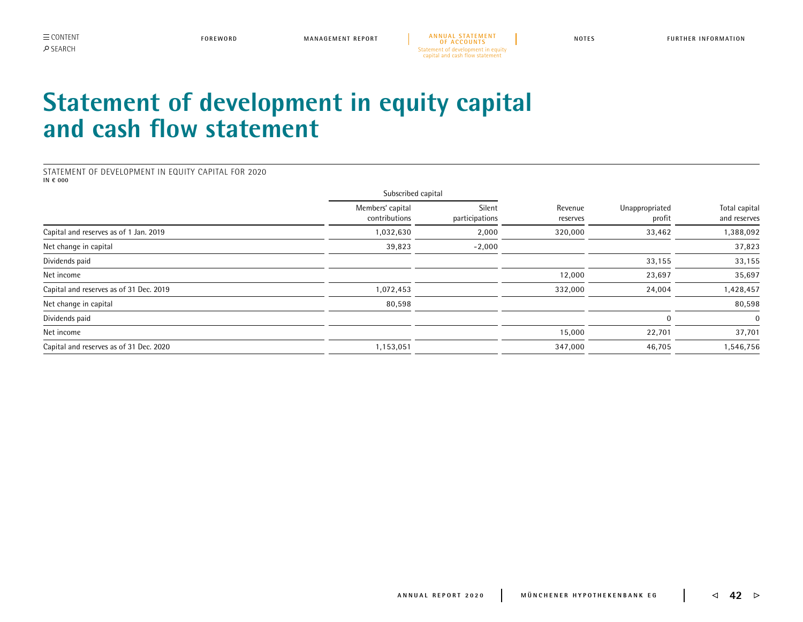**MANAGEMENT REPORT [A N N U A L S TAT E M E N T](#page--1-0)  [OF ACCOUNTS](#page--1-0) FOREWORD NOTES FURTHER INFORMATION** Statement of development in equity capital and cash flow statement

## <span id="page-0-0"></span>**Statement of development in equity capital and cash flow statement**

STATEMENT OF DEVELOPMENT IN EQUITY CAPITAL FOR 2020 **IN € 000**

|                                         | Subscribed capital                |                          |                     |                          |                               |
|-----------------------------------------|-----------------------------------|--------------------------|---------------------|--------------------------|-------------------------------|
|                                         | Members' capital<br>contributions | Silent<br>participations | Revenue<br>reserves | Unappropriated<br>profit | Total capital<br>and reserves |
| Capital and reserves as of 1 Jan. 2019  | 1,032,630                         | 2,000                    | 320,000             | 33,462                   | 1,388,092                     |
| Net change in capital                   | 39,823                            | $-2,000$                 |                     |                          | 37,823                        |
| Dividends paid                          |                                   |                          |                     | 33,155                   | 33,155                        |
| Net income                              |                                   |                          | 12,000              | 23,697                   | 35,697                        |
| Capital and reserves as of 31 Dec. 2019 | 1,072,453                         |                          | 332,000             | 24,004                   | 1,428,457                     |
| Net change in capital                   | 80,598                            |                          |                     |                          | 80,598                        |
| Dividends paid                          |                                   |                          |                     |                          | $\Omega$                      |
| Net income                              |                                   |                          | 15,000              | 22,701                   | 37,701                        |
| Capital and reserves as of 31 Dec. 2020 | 1,153,051                         |                          | 347,000             | 46,705                   | 1,546,756                     |